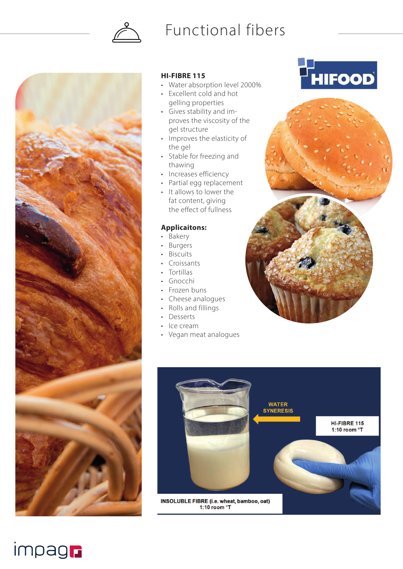

## Functional fibers



impagn

### **HI-FIBRE 115**

- Water absorption level 2000%
- Excellent cold and hot gelling properties
- Gives stability and improves the viscosity of the gel structure
- Improves the elasticity of the gel
- Stable for freezing and thawing
- Increases efficiency
- Partial egg replacement
- It allows to lower the fat content, giving the effect of fullness

### **Applicaitons:**

- Bakery
- Burgers
- **Biscuits**
- Croissants
- Tortillas
- Gnocchi
- Frozen buns
- Cheese analogues
- Rolls and fillings
- Desserts
- Ice cream • Vegan meat analogues